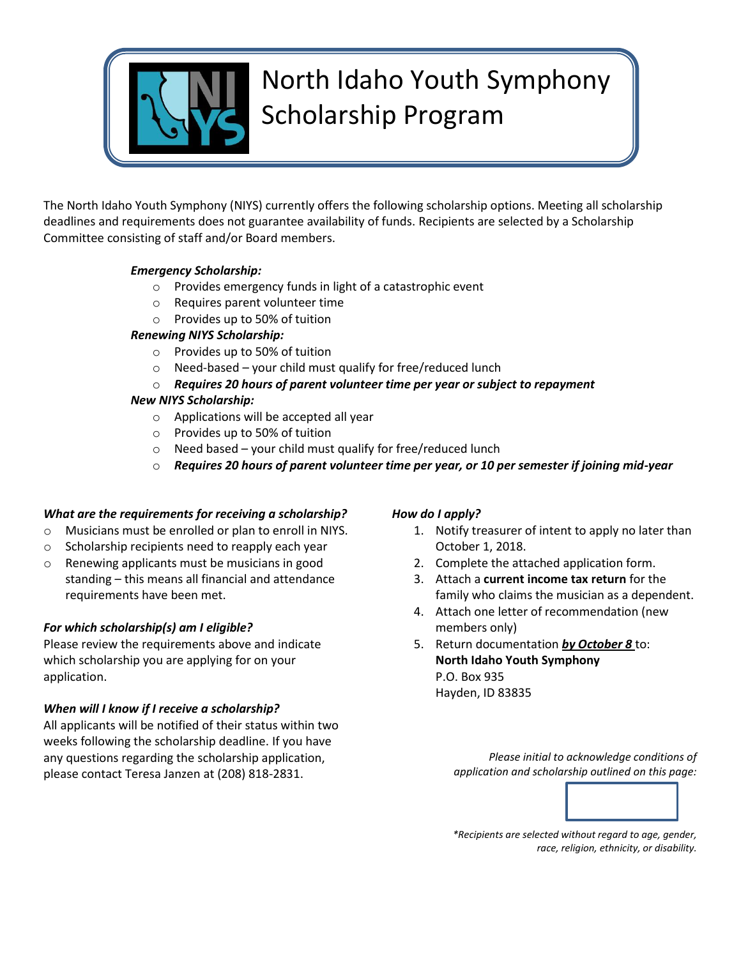

# North Idaho Youth Symphony Scholarship Program

The North Idaho Youth Symphony (NIYS) currently offers the following scholarship options. Meeting all scholarship deadlines and requirements does not guarantee availability of funds. Recipients are selected by a Scholarship Committee consisting of staff and/or Board members.

# *Emergency Scholarship:*

- o Provides emergency funds in light of a catastrophic event
- o Requires parent volunteer time
- o Provides up to 50% of tuition

#### *Renewing NIYS Scholarship:*

- o Provides up to 50% of tuition
- o Need-based your child must qualify for free/reduced lunch
- o *Requires 20 hours of parent volunteer time per year or subject to repayment*

#### *New NIYS Scholarship:*

- o Applications will be accepted all year
- o Provides up to 50% of tuition
- $\circ$  Need based your child must qualify for free/reduced lunch
- o *Requires 20 hours of parent volunteer time per year, or 10 per semester if joining mid-year*

#### *What are the requirements for receiving a scholarship?*

- o Musicians must be enrolled or plan to enroll in NIYS.
- o Scholarship recipients need to reapply each year
- o Renewing applicants must be musicians in good standing – this means all financial and attendance requirements have been met.

# *For which scholarship(s) am I eligible?*

Please review the requirements above and indicate which scholarship you are applying for on your application.

# *When will I know if I receive a scholarship?*

All applicants will be notified of their status within two weeks following the scholarship deadline. If you have any questions regarding the scholarship application, please contact Teresa Janzen at (208) 818-2831.

#### *How do I apply?*

- 1. Notify treasurer of intent to apply no later than October 1, 2018.
- 2. Complete the attached application form.
- 3. Attach a **current income tax return** for the family who claims the musician as a dependent.
- 4. Attach one letter of recommendation (new members only)
- 5. Return documentation *by October 8* to: **North Idaho Youth Symphony** P.O. Box 935 Hayden, ID 83835

*Please initial to acknowledge conditions of application and scholarship outlined on this page:* 



*\*Recipients are selected without regard to age, gender, race, religion, ethnicity, or disability.*